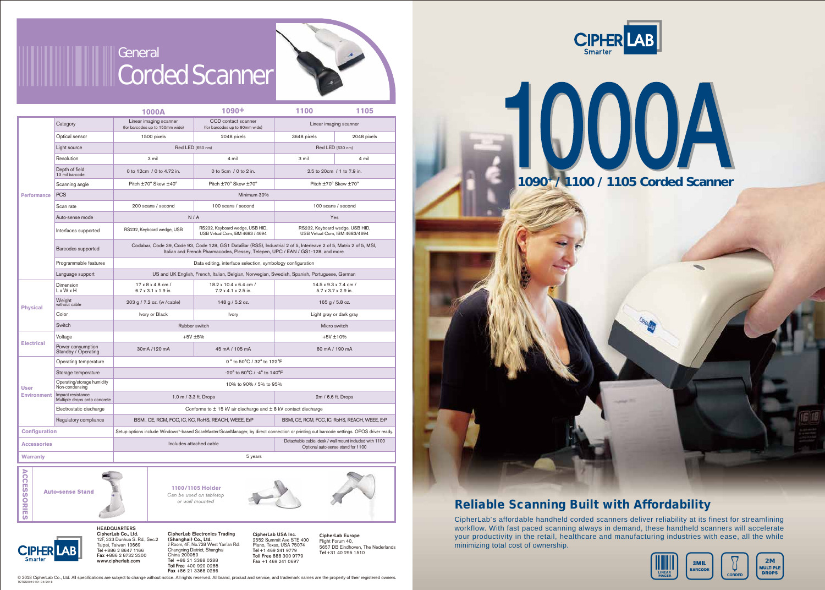



## Reliable Scanning Built with Affordability

CipherLab's affordable handheld corded scanners deliver reliability at its finest for streamlining workflow. With fast paced scanning always in demand, these handheld scanners will accelerate your productivity in the retail, healthcare and manufacturing industries with ease, all the while minimizing total cost of ownership.





**CORDEI**